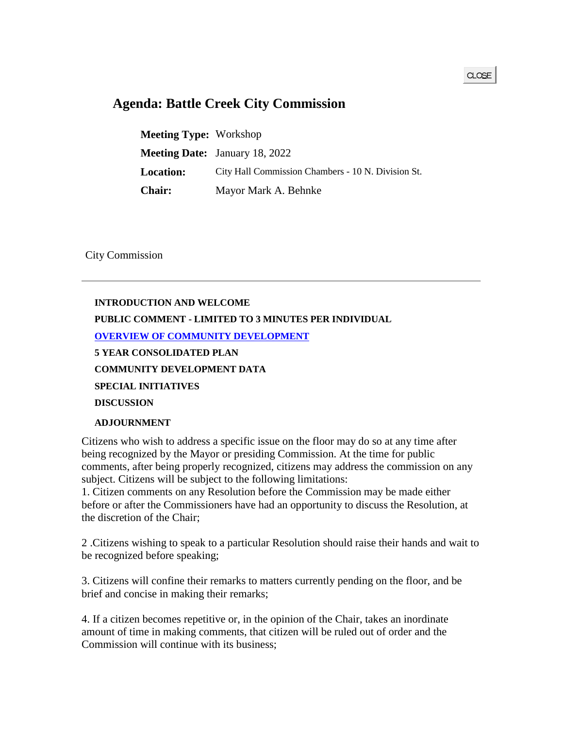## **Agenda: Battle Creek City Commission**

**Meeting Type:** Workshop **Meeting Date:** January 18, 2022 **Location:** City Hall Commission Chambers - 10 N. Division St. **Chair:** Mayor Mark A. Behnke

City Commission

## **INTRODUCTION AND WELCOME PUBLIC COMMENT - LIMITED TO 3 MINUTES PER INDIVIDUAL [OVERVIEW OF COMMUNITY DEVELOPMENT](https://battlecreek.novusagenda.com/agendapublic/CoverSheet.aspx?ItemID=4279&MeetingID=604) 5 YEAR CONSOLIDATED PLAN COMMUNITY DEVELOPMENT DATA SPECIAL INITIATIVES DISCUSSION ADJOURNMENT**

Citizens who wish to address a specific issue on the floor may do so at any time after being recognized by the Mayor or presiding Commission. At the time for public comments, after being properly recognized, citizens may address the commission on any subject. Citizens will be subject to the following limitations:

1. Citizen comments on any Resolution before the Commission may be made either before or after the Commissioners have had an opportunity to discuss the Resolution, at the discretion of the Chair;

2 .Citizens wishing to speak to a particular Resolution should raise their hands and wait to be recognized before speaking;

3. Citizens will confine their remarks to matters currently pending on the floor, and be brief and concise in making their remarks;

4. If a citizen becomes repetitive or, in the opinion of the Chair, takes an inordinate amount of time in making comments, that citizen will be ruled out of order and the Commission will continue with its business;